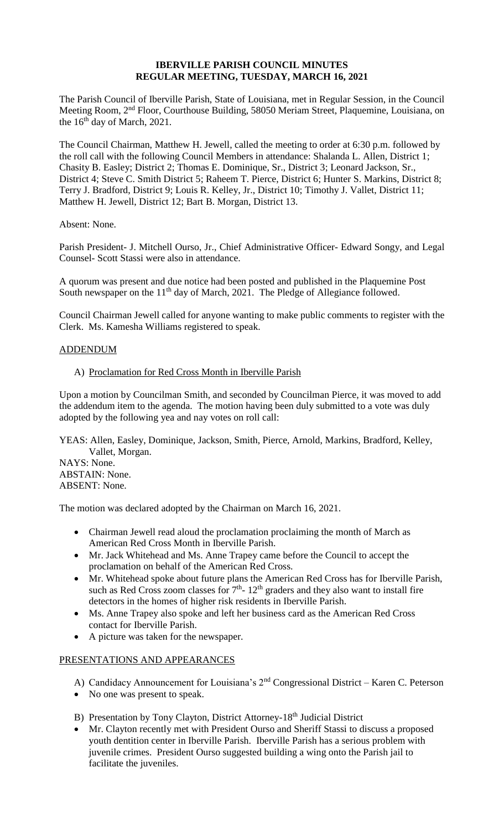## **IBERVILLE PARISH COUNCIL MINUTES REGULAR MEETING, TUESDAY, MARCH 16, 2021**

The Parish Council of Iberville Parish, State of Louisiana, met in Regular Session, in the Council Meeting Room, 2nd Floor, Courthouse Building, 58050 Meriam Street, Plaquemine, Louisiana, on the  $16<sup>th</sup>$  day of March, 2021.

The Council Chairman, Matthew H. Jewell, called the meeting to order at 6:30 p.m. followed by the roll call with the following Council Members in attendance: Shalanda L. Allen, District 1; Chasity B. Easley; District 2; Thomas E. Dominique, Sr., District 3; Leonard Jackson, Sr., District 4; Steve C. Smith District 5; Raheem T. Pierce, District 6; Hunter S. Markins, District 8; Terry J. Bradford, District 9; Louis R. Kelley, Jr., District 10; Timothy J. Vallet, District 11; Matthew H. Jewell, District 12; Bart B. Morgan, District 13.

Absent: None.

Parish President- J. Mitchell Ourso, Jr., Chief Administrative Officer- Edward Songy, and Legal Counsel- Scott Stassi were also in attendance.

A quorum was present and due notice had been posted and published in the Plaquemine Post South newspaper on the  $11<sup>th</sup>$  day of March, 2021. The Pledge of Allegiance followed.

Council Chairman Jewell called for anyone wanting to make public comments to register with the Clerk. Ms. Kamesha Williams registered to speak.

## ADDENDUM

## A) Proclamation for Red Cross Month in Iberville Parish

Upon a motion by Councilman Smith, and seconded by Councilman Pierce, it was moved to add the addendum item to the agenda. The motion having been duly submitted to a vote was duly adopted by the following yea and nay votes on roll call:

YEAS: Allen, Easley, Dominique, Jackson, Smith, Pierce, Arnold, Markins, Bradford, Kelley, Vallet, Morgan.

NAYS: None. ABSTAIN: None. ABSENT: None.

The motion was declared adopted by the Chairman on March 16, 2021.

- Chairman Jewell read aloud the proclamation proclaiming the month of March as American Red Cross Month in Iberville Parish.
- Mr. Jack Whitehead and Ms. Anne Trapey came before the Council to accept the proclamation on behalf of the American Red Cross.
- Mr. Whitehead spoke about future plans the American Red Cross has for Iberville Parish, such as Red Cross zoom classes for  $7<sup>th</sup>$ -  $12<sup>th</sup>$  graders and they also want to install fire detectors in the homes of higher risk residents in Iberville Parish.
- Ms. Anne Trapey also spoke and left her business card as the American Red Cross contact for Iberville Parish.
- A picture was taken for the newspaper.

## PRESENTATIONS AND APPEARANCES

- A) Candidacy Announcement for Louisiana's  $2<sup>nd</sup>$  Congressional District Karen C. Peterson
- No one was present to speak.
- B) Presentation by Tony Clayton, District Attorney-18<sup>th</sup> Judicial District
- Mr. Clayton recently met with President Ourso and Sheriff Stassi to discuss a proposed youth dentition center in Iberville Parish. Iberville Parish has a serious problem with juvenile crimes. President Ourso suggested building a wing onto the Parish jail to facilitate the juveniles.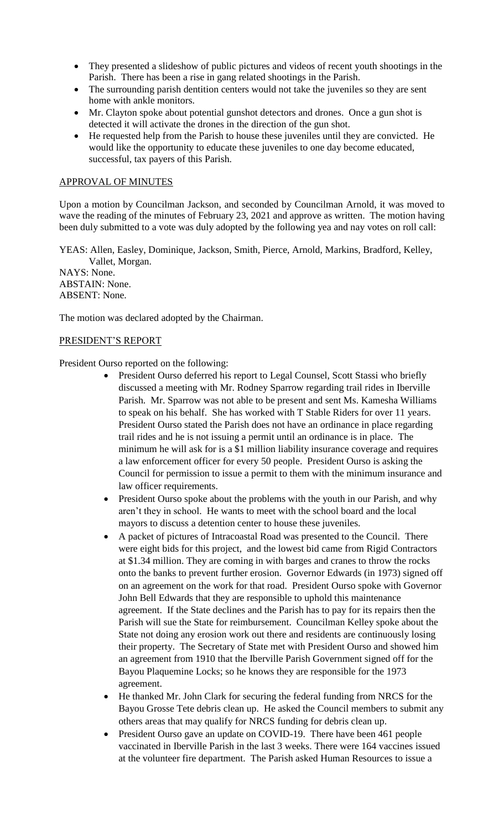- They presented a slideshow of public pictures and videos of recent youth shootings in the Parish. There has been a rise in gang related shootings in the Parish.
- The surrounding parish dentition centers would not take the juveniles so they are sent home with ankle monitors.
- Mr. Clayton spoke about potential gunshot detectors and drones. Once a gun shot is detected it will activate the drones in the direction of the gun shot.
- He requested help from the Parish to house these juveniles until they are convicted. He would like the opportunity to educate these juveniles to one day become educated, successful, tax payers of this Parish.

# APPROVAL OF MINUTES

Upon a motion by Councilman Jackson, and seconded by Councilman Arnold, it was moved to wave the reading of the minutes of February 23, 2021 and approve as written. The motion having been duly submitted to a vote was duly adopted by the following yea and nay votes on roll call:

YEAS: Allen, Easley, Dominique, Jackson, Smith, Pierce, Arnold, Markins, Bradford, Kelley, Vallet, Morgan.

NAYS: None. ABSTAIN: None. ABSENT: None.

The motion was declared adopted by the Chairman.

## PRESIDENT'S REPORT

President Ourso reported on the following:

- President Ourso deferred his report to Legal Counsel, Scott Stassi who briefly discussed a meeting with Mr. Rodney Sparrow regarding trail rides in Iberville Parish. Mr. Sparrow was not able to be present and sent Ms. Kamesha Williams to speak on his behalf. She has worked with T Stable Riders for over 11 years. President Ourso stated the Parish does not have an ordinance in place regarding trail rides and he is not issuing a permit until an ordinance is in place. The minimum he will ask for is a \$1 million liability insurance coverage and requires a law enforcement officer for every 50 people. President Ourso is asking the Council for permission to issue a permit to them with the minimum insurance and law officer requirements.
- President Ourso spoke about the problems with the youth in our Parish, and why aren't they in school. He wants to meet with the school board and the local mayors to discuss a detention center to house these juveniles.
- A packet of pictures of Intracoastal Road was presented to the Council. There were eight bids for this project, and the lowest bid came from Rigid Contractors at \$1.34 million. They are coming in with barges and cranes to throw the rocks onto the banks to prevent further erosion. Governor Edwards (in 1973) signed off on an agreement on the work for that road. President Ourso spoke with Governor John Bell Edwards that they are responsible to uphold this maintenance agreement. If the State declines and the Parish has to pay for its repairs then the Parish will sue the State for reimbursement. Councilman Kelley spoke about the State not doing any erosion work out there and residents are continuously losing their property. The Secretary of State met with President Ourso and showed him an agreement from 1910 that the Iberville Parish Government signed off for the Bayou Plaquemine Locks; so he knows they are responsible for the 1973 agreement.
- He thanked Mr. John Clark for securing the federal funding from NRCS for the Bayou Grosse Tete debris clean up. He asked the Council members to submit any others areas that may qualify for NRCS funding for debris clean up.
- President Ourso gave an update on COVID-19. There have been 461 people vaccinated in Iberville Parish in the last 3 weeks. There were 164 vaccines issued at the volunteer fire department. The Parish asked Human Resources to issue a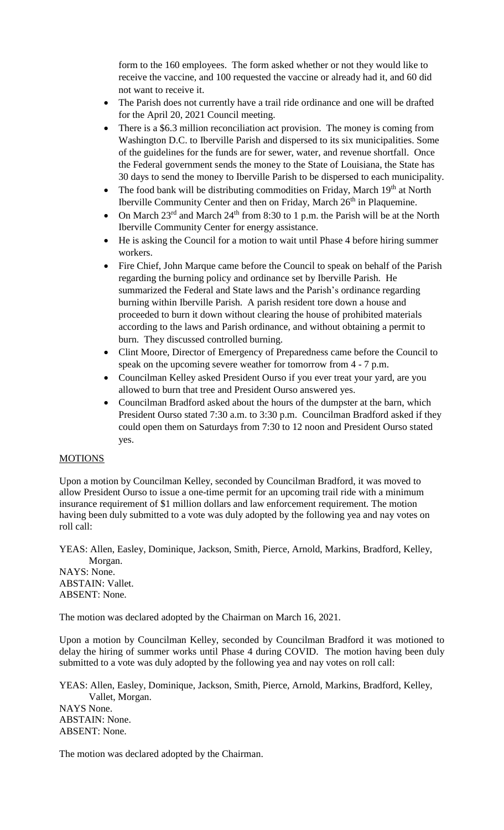form to the 160 employees. The form asked whether or not they would like to receive the vaccine, and 100 requested the vaccine or already had it, and 60 did not want to receive it.

- The Parish does not currently have a trail ride ordinance and one will be drafted for the April 20, 2021 Council meeting.
- There is a \$6.3 million reconciliation act provision. The money is coming from Washington D.C. to Iberville Parish and dispersed to its six municipalities. Some of the guidelines for the funds are for sewer, water, and revenue shortfall. Once the Federal government sends the money to the State of Louisiana, the State has 30 days to send the money to Iberville Parish to be dispersed to each municipality.
- The food bank will be distributing commodities on Friday, March  $19<sup>th</sup>$  at North Iberville Community Center and then on Friday, March 26<sup>th</sup> in Plaquemine.
- On March  $23^{\text{rd}}$  and March  $24^{\text{th}}$  from 8:30 to 1 p.m. the Parish will be at the North Iberville Community Center for energy assistance.
- He is asking the Council for a motion to wait until Phase 4 before hiring summer workers.
- Fire Chief, John Marque came before the Council to speak on behalf of the Parish regarding the burning policy and ordinance set by Iberville Parish. He summarized the Federal and State laws and the Parish's ordinance regarding burning within Iberville Parish. A parish resident tore down a house and proceeded to burn it down without clearing the house of prohibited materials according to the laws and Parish ordinance, and without obtaining a permit to burn. They discussed controlled burning.
- Clint Moore, Director of Emergency of Preparedness came before the Council to speak on the upcoming severe weather for tomorrow from 4 - 7 p.m.
- Councilman Kelley asked President Ourso if you ever treat your yard, are you allowed to burn that tree and President Ourso answered yes.
- Councilman Bradford asked about the hours of the dumpster at the barn, which President Ourso stated 7:30 a.m. to 3:30 p.m. Councilman Bradford asked if they could open them on Saturdays from 7:30 to 12 noon and President Ourso stated yes.

## MOTIONS

Upon a motion by Councilman Kelley, seconded by Councilman Bradford, it was moved to allow President Ourso to issue a one-time permit for an upcoming trail ride with a minimum insurance requirement of \$1 million dollars and law enforcement requirement. The motion having been duly submitted to a vote was duly adopted by the following yea and nay votes on roll call:

YEAS: Allen, Easley, Dominique, Jackson, Smith, Pierce, Arnold, Markins, Bradford, Kelley, Morgan. NAYS: None. ABSTAIN: Vallet. ABSENT: None.

The motion was declared adopted by the Chairman on March 16, 2021.

Upon a motion by Councilman Kelley, seconded by Councilman Bradford it was motioned to delay the hiring of summer works until Phase 4 during COVID. The motion having been duly submitted to a vote was duly adopted by the following yea and nay votes on roll call:

YEAS: Allen, Easley, Dominique, Jackson, Smith, Pierce, Arnold, Markins, Bradford, Kelley, Vallet, Morgan. NAYS None. ABSTAIN: None. ABSENT: None.

The motion was declared adopted by the Chairman.